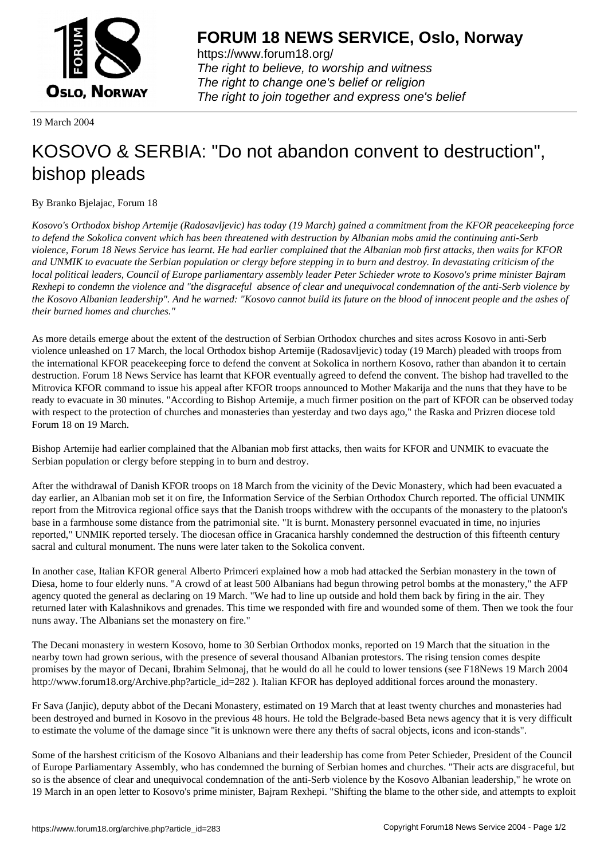

https://www.forum18.org/ The right to believe, to worship and witness The right to change one's belief or religion [The right to join together a](https://www.forum18.org/)nd express one's belief

19 March 2004

## [KOSOVO & SE](https://www.forum18.org)RBIA: "Do not abandon convent to destruction", bishop pleads

By Branko Bjelajac, Forum 18

*Kosovo's Orthodox bishop Artemije (Radosavljevic) has today (19 March) gained a commitment from the KFOR peacekeeping force to defend the Sokolica convent which has been threatened with destruction by Albanian mobs amid the continuing anti-Serb violence, Forum 18 News Service has learnt. He had earlier complained that the Albanian mob first attacks, then waits for KFOR and UNMIK to evacuate the Serbian population or clergy before stepping in to burn and destroy. In devastating criticism of the local political leaders, Council of Europe parliamentary assembly leader Peter Schieder wrote to Kosovo's prime minister Bajram Rexhepi to condemn the violence and "the disgraceful absence of clear and unequivocal condemnation of the anti-Serb violence by the Kosovo Albanian leadership". And he warned: "Kosovo cannot build its future on the blood of innocent people and the ashes of their burned homes and churches."*

As more details emerge about the extent of the destruction of Serbian Orthodox churches and sites across Kosovo in anti-Serb violence unleashed on 17 March, the local Orthodox bishop Artemije (Radosavljevic) today (19 March) pleaded with troops from the international KFOR peacekeeping force to defend the convent at Sokolica in northern Kosovo, rather than abandon it to certain destruction. Forum 18 News Service has learnt that KFOR eventually agreed to defend the convent. The bishop had travelled to the Mitrovica KFOR command to issue his appeal after KFOR troops announced to Mother Makarija and the nuns that they have to be ready to evacuate in 30 minutes. "According to Bishop Artemije, a much firmer position on the part of KFOR can be observed today with respect to the protection of churches and monasteries than yesterday and two days ago," the Raska and Prizren diocese told Forum 18 on 19 March.

Bishop Artemije had earlier complained that the Albanian mob first attacks, then waits for KFOR and UNMIK to evacuate the Serbian population or clergy before stepping in to burn and destroy.

After the withdrawal of Danish KFOR troops on 18 March from the vicinity of the Devic Monastery, which had been evacuated a day earlier, an Albanian mob set it on fire, the Information Service of the Serbian Orthodox Church reported. The official UNMIK report from the Mitrovica regional office says that the Danish troops withdrew with the occupants of the monastery to the platoon's base in a farmhouse some distance from the patrimonial site. "It is burnt. Monastery personnel evacuated in time, no injuries reported," UNMIK reported tersely. The diocesan office in Gracanica harshly condemned the destruction of this fifteenth century sacral and cultural monument. The nuns were later taken to the Sokolica convent.

In another case, Italian KFOR general Alberto Primceri explained how a mob had attacked the Serbian monastery in the town of Diesa, home to four elderly nuns. "A crowd of at least 500 Albanians had begun throwing petrol bombs at the monastery," the AFP agency quoted the general as declaring on 19 March. "We had to line up outside and hold them back by firing in the air. They returned later with Kalashnikovs and grenades. This time we responded with fire and wounded some of them. Then we took the four nuns away. The Albanians set the monastery on fire."

The Decani monastery in western Kosovo, home to 30 Serbian Orthodox monks, reported on 19 March that the situation in the nearby town had grown serious, with the presence of several thousand Albanian protestors. The rising tension comes despite promises by the mayor of Decani, Ibrahim Selmonaj, that he would do all he could to lower tensions (see F18News 19 March 2004 http://www.forum18.org/Archive.php?article\_id=282 ). Italian KFOR has deployed additional forces around the monastery.

Fr Sava (Janjic), deputy abbot of the Decani Monastery, estimated on 19 March that at least twenty churches and monasteries had been destroyed and burned in Kosovo in the previous 48 hours. He told the Belgrade-based Beta news agency that it is very difficult to estimate the volume of the damage since ''it is unknown were there any thefts of sacral objects, icons and icon-stands".

Some of the harshest criticism of the Kosovo Albanians and their leadership has come from Peter Schieder, President of the Council of Europe Parliamentary Assembly, who has condemned the burning of Serbian homes and churches. "Their acts are disgraceful, but so is the absence of clear and unequivocal condemnation of the anti-Serb violence by the Kosovo Albanian leadership," he wrote on 19 March in an open letter to Kosovo's prime minister, Bajram Rexhepi. "Shifting the blame to the other side, and attempts to exploit